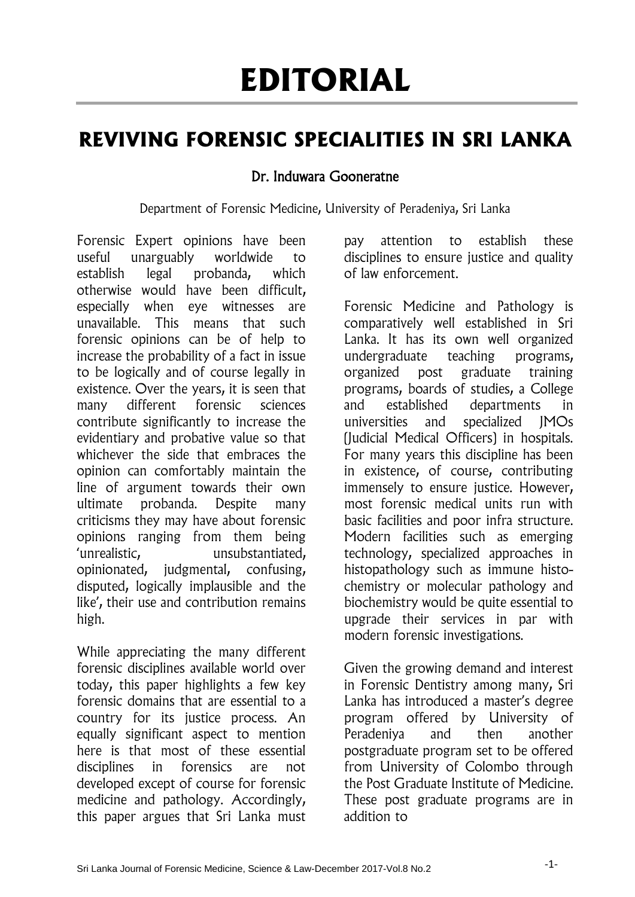## **EDITORIAL**

## **REVIVING FORENSIC SPECIALITIES IN SRI LANKA**

## Dr. Induwara Gooneratne

Department of Forensic Medicine, University of Peradeniya, Sri Lanka

Forensic Expert opinions have been useful unarguably worldwide to establish legal probanda, which otherwise would have been difficult, especially when eye witnesses are unavailable. This means that such forensic opinions can be of help to increase the probability of a fact in issue to be logically and of course legally in existence. Over the years, it is seen that many different forensic sciences contribute significantly to increase the evidentiary and probative value so that whichever the side that embraces the opinion can comfortably maintain the line of argument towards their own ultimate probanda. Despite many criticisms they may have about forensic opinions ranging from them being 'unrealistic, unsubstantiated, opinionated, judgmental, confusing, disputed, logically implausible and the like', their use and contribution remains high.

While appreciating the many different forensic disciplines available world over today, this paper highlights a few key forensic domains that are essential to a country for its justice process. An equally significant aspect to mention here is that most of these essential disciplines in forensics are not developed except of course for forensic medicine and pathology. Accordingly, this paper argues that Sri Lanka must

pay attention to establish these disciplines to ensure justice and quality of law enforcement.

Forensic Medicine and Pathology is comparatively well established in Sri Lanka. It has its own well organized undergraduate teaching programs, organized post graduate training programs, boards of studies, a College and established departments in universities and specialized JMOs (Judicial Medical Officers) in hospitals. For many years this discipline has been in existence, of course, contributing immensely to ensure justice. However, most forensic medical units run with basic facilities and poor infra structure. Modern facilities such as emerging technology, specialized approaches in histopathology such as immune histochemistry or molecular pathology and biochemistry would be quite essential to upgrade their services in par with modern forensic investigations.

Given the growing demand and interest in Forensic Dentistry among many, Sri Lanka has introduced a master's degree program offered by University of Peradeniya and then another postgraduate program set to be offered from University of Colombo through the Post Graduate Institute of Medicine. These post graduate programs are in addition to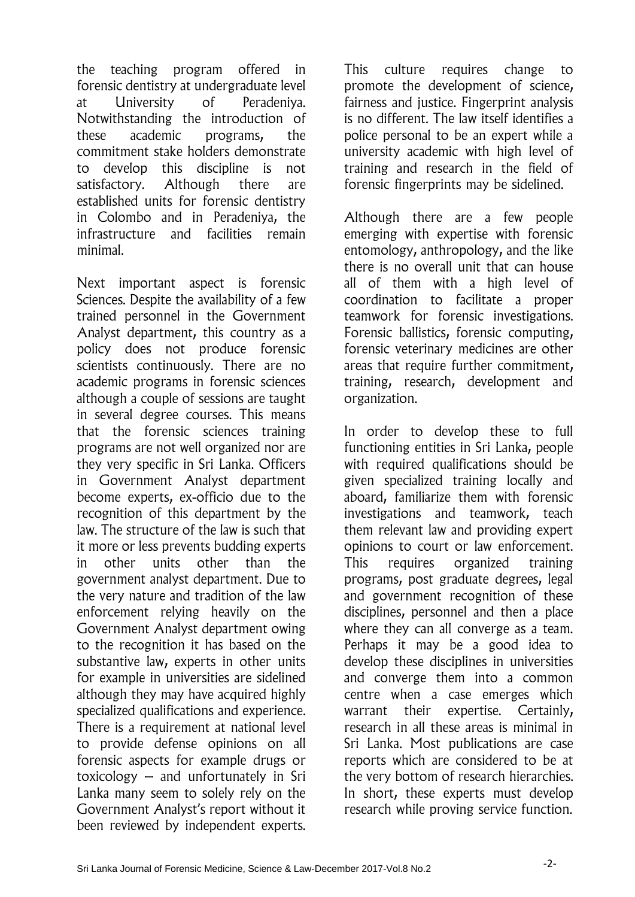the teaching program offered in forensic dentistry at undergraduate level at University of Peradeniya. Notwithstanding the introduction of these academic programs, the commitment stake holders demonstrate to develop this discipline is not satisfactory. Although there are established units for forensic dentistry in Colombo and in Peradeniya, the infrastructure and facilities remain minimal.

Next important aspect is forensic Sciences. Despite the availability of a few trained personnel in the Government Analyst department, this country as a policy does not produce forensic scientists continuously. There are no academic programs in forensic sciences although a couple of sessions are taught in several degree courses. This means that the forensic sciences training programs are not well organized nor are they very specific in Sri Lanka. Officers in Government Analyst department become experts, ex-officio due to the recognition of this department by the law. The structure of the law is such that it more or less prevents budding experts in other units other than the government analyst department. Due to the very nature and tradition of the law enforcement relying heavily on the Government Analyst department owing to the recognition it has based on the substantive law, experts in other units for example in universities are sidelined although they may have acquired highly specialized qualifications and experience. There is a requirement at national level to provide defense opinions on all forensic aspects for example drugs or toxicology – and unfortunately in Sri Lanka many seem to solely rely on the Government Analyst's report without it been reviewed by independent experts.

This culture requires change to promote the development of science, fairness and justice. Fingerprint analysis is no different. The law itself identifies a police personal to be an expert while a university academic with high level of training and research in the field of forensic fingerprints may be sidelined.

Although there are a few people emerging with expertise with forensic entomology, anthropology, and the like there is no overall unit that can house all of them with a high level of coordination to facilitate a proper teamwork for forensic investigations. Forensic ballistics, forensic computing, forensic veterinary medicines are other areas that require further commitment, training, research, development and organization.

In order to develop these to full functioning entities in Sri Lanka, people with required qualifications should be given specialized training locally and aboard, familiarize them with forensic investigations and teamwork, teach them relevant law and providing expert opinions to court or law enforcement. This requires organized training programs, post graduate degrees, legal and government recognition of these disciplines, personnel and then a place where they can all converge as a team. Perhaps it may be a good idea to develop these disciplines in universities and converge them into a common centre when a case emerges which warrant their expertise. Certainly, research in all these areas is minimal in Sri Lanka. Most publications are case reports which are considered to be at the very bottom of research hierarchies. In short, these experts must develop research while proving service function.